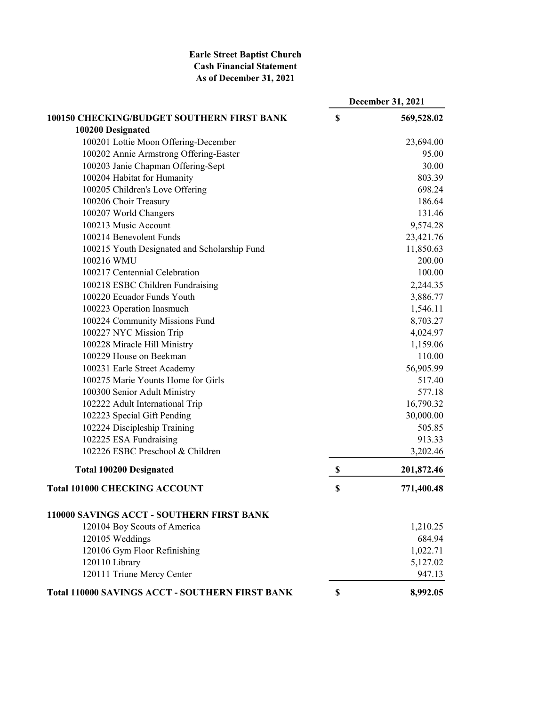## Earle Street Baptist Church Cash Financial Statement As of December 31, 2021

|                                                        | <b>December 31, 2021</b> |
|--------------------------------------------------------|--------------------------|
| 100150 CHECKING/BUDGET SOUTHERN FIRST BANK             | \$<br>569,528.02         |
| 100200 Designated                                      |                          |
| 100201 Lottie Moon Offering-December                   | 23,694.00                |
| 100202 Annie Armstrong Offering-Easter                 | 95.00                    |
| 100203 Janie Chapman Offering-Sept                     | 30.00                    |
| 100204 Habitat for Humanity                            | 803.39                   |
| 100205 Children's Love Offering                        | 698.24                   |
| 100206 Choir Treasury                                  | 186.64                   |
| 100207 World Changers                                  | 131.46                   |
| 100213 Music Account                                   | 9,574.28                 |
| 100214 Benevolent Funds                                | 23,421.76                |
| 100215 Youth Designated and Scholarship Fund           | 11,850.63                |
| 100216 WMU                                             | 200.00                   |
| 100217 Centennial Celebration                          | 100.00                   |
| 100218 ESBC Children Fundraising                       | 2,244.35                 |
| 100220 Ecuador Funds Youth                             | 3,886.77                 |
| 100223 Operation Inasmuch                              | 1,546.11                 |
| 100224 Community Missions Fund                         | 8,703.27                 |
| 100227 NYC Mission Trip                                | 4,024.97                 |
| 100228 Miracle Hill Ministry                           | 1,159.06                 |
| 100229 House on Beekman                                | 110.00                   |
| 100231 Earle Street Academy                            | 56,905.99                |
| 100275 Marie Younts Home for Girls                     | 517.40                   |
| 100300 Senior Adult Ministry                           | 577.18                   |
| 102222 Adult International Trip                        | 16,790.32                |
| 102223 Special Gift Pending                            | 30,000.00                |
| 102224 Discipleship Training                           | 505.85                   |
| 102225 ESA Fundraising                                 | 913.33                   |
| 102226 ESBC Preschool & Children                       | 3,202.46                 |
| <b>Total 100200 Designated</b>                         | \$<br>201,872.46         |
| <b>Total 101000 CHECKING ACCOUNT</b>                   | \$<br>771,400.48         |
| 110000 SAVINGS ACCT - SOUTHERN FIRST BANK              |                          |
| 120104 Boy Scouts of America                           | 1,210.25                 |
| 120105 Weddings                                        | 684.94                   |
| 120106 Gym Floor Refinishing                           | 1,022.71                 |
| 120110 Library                                         | 5,127.02                 |
| 120111 Triune Mercy Center                             | 947.13                   |
| <b>Total 110000 SAVINGS ACCT - SOUTHERN FIRST BANK</b> | \$<br>8,992.05           |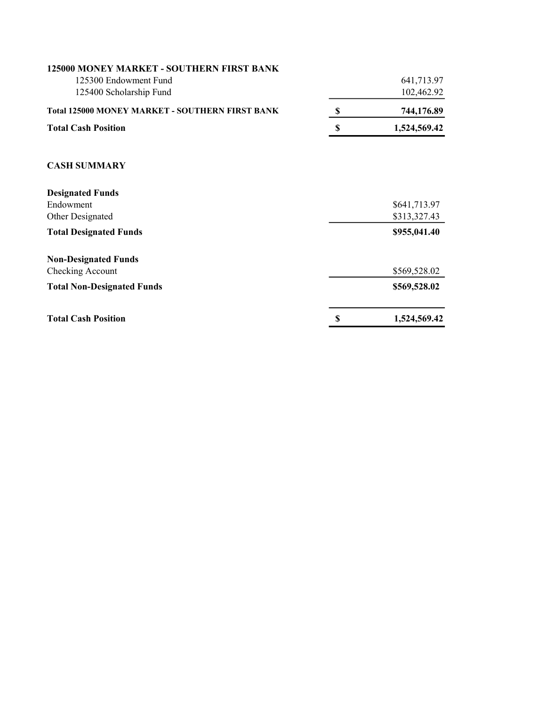| <b>Total Cash Position</b>                                                                    | \$<br>1,524,569.42           |
|-----------------------------------------------------------------------------------------------|------------------------------|
| <b>Total Non-Designated Funds</b>                                                             | \$569,528.02                 |
| <b>Non-Designated Funds</b><br>Checking Account                                               | \$569,528.02                 |
| <b>Total Designated Funds</b>                                                                 | \$955,041.40                 |
| <b>Designated Funds</b><br>Endowment<br>Other Designated                                      | \$641,713.97<br>\$313,327.43 |
| <b>CASH SUMMARY</b>                                                                           |                              |
| <b>Total Cash Position</b>                                                                    | \$<br>1,524,569.42           |
| <b>Total 125000 MONEY MARKET - SOUTHERN FIRST BANK</b>                                        | \$<br>744,176.89             |
| 125000 MONEY MARKET - SOUTHERN FIRST BANK<br>125300 Endowment Fund<br>125400 Scholarship Fund | 641,713.97<br>102,462.92     |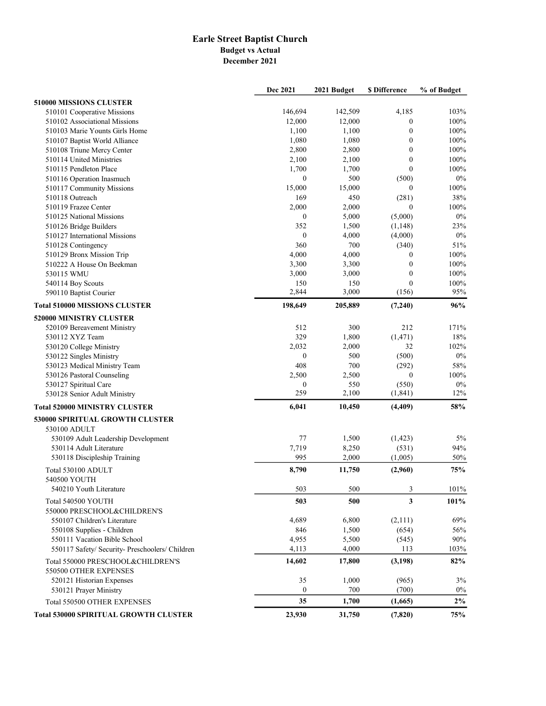## Earle Street Baptist Church Budget vs Actual December 2021

|                                                            | Dec 2021         | 2021 Budget | <b>\$ Difference</b> | % of Budget |
|------------------------------------------------------------|------------------|-------------|----------------------|-------------|
| 510000 MISSIONS CLUSTER                                    |                  |             |                      |             |
| 510101 Cooperative Missions                                | 146,694          | 142,509     | 4,185                | 103%        |
| 510102 Associational Missions                              | 12,000           | 12,000      | $\boldsymbol{0}$     | 100%        |
| 510103 Marie Younts Girls Home                             | 1,100            | 1,100       | $\mathbf{0}$         | 100%        |
| 510107 Baptist World Alliance                              | 1,080            | 1,080       | $\mathbf{0}$         | 100%        |
| 510108 Triune Mercy Center                                 | 2,800            | 2,800       | $\mathbf{0}$         | 100%        |
| 510114 United Ministries                                   | 2,100            | 2,100       | $\boldsymbol{0}$     | 100%        |
| 510115 Pendleton Place                                     | 1,700            | 1,700       | $\theta$             | 100%        |
| 510116 Operation Inasmuch                                  | $\mathbf{0}$     | 500         | (500)                | 0%          |
| 510117 Community Missions                                  | 15,000           | 15,000      | $\theta$             | 100%        |
| 510118 Outreach                                            | 169              | 450         | (281)                | 38%         |
| 510119 Frazee Center                                       | 2,000            | 2,000       | $\theta$             | 100%        |
| 510125 National Missions                                   | $\boldsymbol{0}$ | 5,000       | (5,000)              | $0\%$       |
| 510126 Bridge Builders                                     | 352              | 1,500       | (1,148)              | 23%         |
| 510127 International Missions                              | $\boldsymbol{0}$ | 4,000       | (4,000)              | 0%          |
| 510128 Contingency                                         | 360              | 700         | (340)                | 51%         |
| 510129 Bronx Mission Trip                                  | 4,000            | 4,000       | $\mathbf{0}$         | 100%        |
| 510222 A House On Beekman                                  | 3,300            | 3,300       | $\mathbf{0}$         | 100%        |
| 530115 WMU                                                 | 3,000            | 3,000       | $\theta$             | 100%        |
| 540114 Boy Scouts                                          | 150              | 150         | $\mathbf{0}$         | 100%        |
| 590110 Baptist Courier                                     | 2,844            | 3,000       | (156)                | 95%         |
| <b>Total 510000 MISSIONS CLUSTER</b>                       | 198,649          | 205,889     | (7,240)              | 96%         |
| 520000 MINISTRY CLUSTER                                    |                  |             |                      |             |
| 520109 Bereavement Ministry                                | 512              | 300         | 212                  | 171%        |
| 530112 XYZ Team                                            | 329              | 1,800       | (1, 471)             | 18%         |
| 530120 College Ministry                                    | 2,032            | 2,000       | 32                   | 102%        |
| 530122 Singles Ministry                                    | $\mathbf{0}$     | 500         | (500)                | $0\%$       |
| 530123 Medical Ministry Team                               | 408              | 700         | (292)                | 58%         |
| 530126 Pastoral Counseling                                 | 2,500            | 2,500       | $\theta$             | 100%        |
| 530127 Spiritual Care                                      | $\boldsymbol{0}$ | 550         | (550)                | 0%          |
| 530128 Senior Adult Ministry                               | 259              | 2,100       | (1, 841)             | 12%         |
| <b>Total 520000 MINISTRY CLUSTER</b>                       | 6,041            | 10,450      | (4,409)              | 58%         |
| 530000 SPIRITUAL GROWTH CLUSTER                            |                  |             |                      |             |
| 530100 ADULT                                               |                  |             |                      |             |
| 530109 Adult Leadership Development                        | 77               | 1,500       | (1, 423)             | 5%          |
| 530114 Adult Literature                                    | 7,719            | 8,250       | (531)                | 94%         |
| 530118 Discipleship Training                               | 995              | 2,000       | (1,005)              | 50%         |
| Total 530100 ADULT<br>540500 YOUTH                         | 8,790            | 11,750      | (2,960)              | 75%         |
| 540210 Youth Literature                                    | 503              | 500         | 3                    | 101%        |
|                                                            | 503              | 500         | 3                    | 101%        |
| Total 540500 YOUTH<br>550000 PRESCHOOL&CHILDREN'S          |                  |             |                      |             |
| 550107 Children's Literature                               | 4,689            | 6,800       | (2,111)              | 69%         |
| 550108 Supplies - Children                                 | 846              | 1,500       | (654)                | 56%         |
| 550111 Vacation Bible School                               | 4,955            | 5,500       | (545)                | 90%         |
| 550117 Safety/ Security- Preschoolers/ Children            | 4,113            | 4,000       | 113                  | 103%        |
| Total 550000 PRESCHOOL&CHILDREN'S<br>550500 OTHER EXPENSES | 14,602           | 17,800      | (3, 198)             | 82%         |
| 520121 Historian Expenses                                  | 35               | 1,000       | (965)                | 3%          |
| 530121 Prayer Ministry                                     | $\mathbf{0}$     | 700         | (700)                | $0\%$       |
| Total 550500 OTHER EXPENSES                                | 35               | 1,700       | (1,665)              | $2\%$       |
| <b>Total 530000 SPIRITUAL GROWTH CLUSTER</b>               | 23,930           | 31,750      | (7, 820)             | 75%         |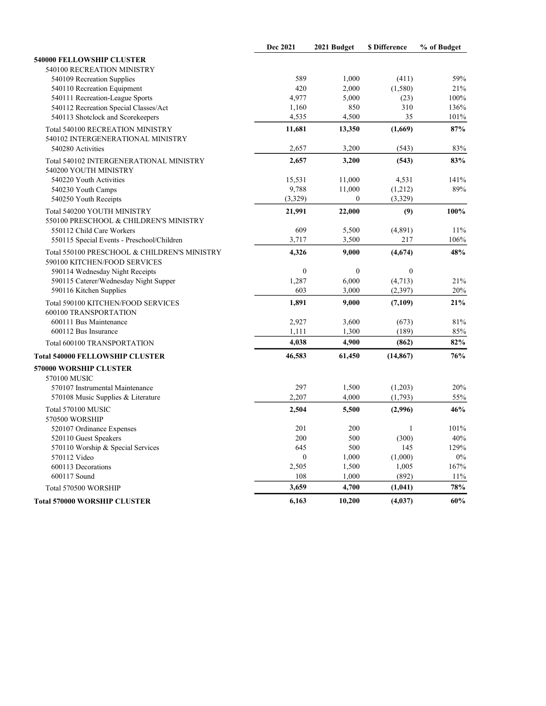|                                                                              | Dec 2021         | 2021 Budget      | <b>\$</b> Difference | % of Budget |
|------------------------------------------------------------------------------|------------------|------------------|----------------------|-------------|
| 540000 FELLOWSHIP CLUSTER                                                    |                  |                  |                      |             |
| 540100 RECREATION MINISTRY                                                   |                  |                  |                      |             |
| 540109 Recreation Supplies                                                   | 589              | 1,000            | (411)                | 59%         |
| 540110 Recreation Equipment                                                  | 420              | 2,000            | (1,580)              | 21%         |
| 540111 Recreation-League Sports                                              | 4,977            | 5,000            | (23)                 | 100%        |
| 540112 Recreation Special Classes/Act                                        | 1,160            | 850              | 310                  | 136%        |
| 540113 Shotclock and Scorekeepers                                            | 4,535            | 4,500            | 35                   | 101%        |
| Total 540100 RECREATION MINISTRY                                             | 11,681           | 13,350           | (1,669)              | 87%         |
| 540102 INTERGENERATIONAL MINISTRY                                            |                  |                  |                      |             |
| 540280 Activities                                                            | 2,657            | 3,200            | (543)                | 83%         |
| Total 540102 INTERGENERATIONAL MINISTRY<br>540200 YOUTH MINISTRY             | 2,657            | 3,200            | (543)                | 83%         |
| 540220 Youth Activities                                                      | 15,531           | 11,000           | 4,531                | 141%        |
| 540230 Youth Camps                                                           | 9,788            | 11,000           | (1,212)              | 89%         |
| 540250 Youth Receipts                                                        | (3,329)          | $\boldsymbol{0}$ | (3,329)              |             |
| Total 540200 YOUTH MINISTRY                                                  | 21,991           | 22,000           | (9)                  | 100%        |
| 550100 PRESCHOOL & CHILDREN'S MINISTRY                                       |                  |                  |                      |             |
| 550112 Child Care Workers                                                    | 609              | 5,500            | (4,891)              | 11%         |
| 550115 Special Events - Preschool/Children                                   | 3,717            | 3,500            | 217                  | 106%        |
| Total 550100 PRESCHOOL & CHILDREN'S MINISTRY<br>590100 KITCHEN/FOOD SERVICES | 4,326            | 9,000            | (4,674)              | 48%         |
| 590114 Wednesday Night Receipts                                              | $\boldsymbol{0}$ | $\boldsymbol{0}$ | $\boldsymbol{0}$     |             |
| 590115 Caterer/Wednesday Night Supper                                        | 1,287            | 6,000            | (4,713)              | 21%         |
| 590116 Kitchen Supplies                                                      | 603              | 3,000            | (2, 397)             | 20%         |
| Total 590100 KITCHEN/FOOD SERVICES<br>600100 TRANSPORTATION                  | 1,891            | 9,000            | (7,109)              | 21%         |
| 600111 Bus Maintenance                                                       | 2,927            | 3,600            | (673)                | 81%         |
| 600112 Bus Insurance                                                         | 1,111            | 1,300            | (189)                | 85%         |
| Total 600100 TRANSPORTATION                                                  | 4,038            | 4,900            | (862)                | 82%         |
| <b>Total 540000 FELLOWSHIP CLUSTER</b>                                       | 46,583           | 61,450           | (14, 867)            | 76%         |
| 570000 WORSHIP CLUSTER                                                       |                  |                  |                      |             |
| 570100 MUSIC                                                                 |                  |                  |                      |             |
| 570107 Instrumental Maintenance                                              | 297              | 1,500            | (1,203)              | 20%         |
| 570108 Music Supplies & Literature                                           | 2,207            | 4,000            | (1,793)              | 55%         |
| Total 570100 MUSIC                                                           | 2,504            | 5,500            | (2,996)              | 46%         |
| 570500 WORSHIP                                                               |                  |                  |                      |             |
| 520107 Ordinance Expenses                                                    | 201              | 200              | 1                    | 101%        |
| 520110 Guest Speakers                                                        | 200              | 500              | (300)                | 40%         |
| 570110 Worship & Special Services                                            | 645              | 500              | 145                  | 129%        |
| 570112 Video                                                                 | $\mathbf{0}$     | 1,000            | (1,000)              | $0\%$       |
| 600113 Decorations                                                           | 2,505            | 1,500            | 1,005                | 167%        |
| 600117 Sound                                                                 | 108              | 1,000            | (892)                | 11%         |
| Total 570500 WORSHIP                                                         | 3,659            | 4,700            | (1,041)              | 78%         |
| <b>Total 570000 WORSHIP CLUSTER</b>                                          | 6,163            | 10,200           | (4,037)              | 60%         |